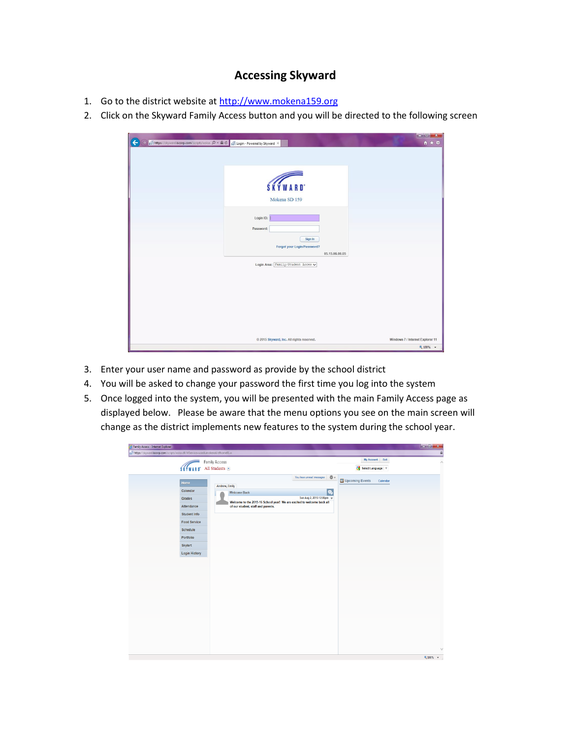## **Accessing Skyward**

- 1. Go to the district website at [http://www.mokena159.org](http://www.mokena159.org/)
- 2. Click on the Skyward Family Access button and you will be directed to the following screen

| St https://skyward.iscorp.com/scripts/wsisa. p → A C St Login - Powered by Skyward X | $A \star \alpha$                 |
|--------------------------------------------------------------------------------------|----------------------------------|
|                                                                                      |                                  |
|                                                                                      |                                  |
| SKYWARD <sup>*</sup>                                                                 |                                  |
| Mokena SD 159                                                                        |                                  |
| Login ID:                                                                            |                                  |
| Password:                                                                            |                                  |
| Sign In<br>Forgot your Login/Password?                                               |                                  |
| 05.15.06.00.05<br>Login Area: Family/Student Acces v                                 |                                  |
|                                                                                      |                                  |
|                                                                                      |                                  |
|                                                                                      |                                  |
|                                                                                      |                                  |
| @ 2015 Skyward, Inc. All rights reserved.                                            | Windows 7 / Internet Explorer 11 |
|                                                                                      | • 100%                           |

- 3. Enter your user name and password as provide by the school district
- 4. You will be asked to change your password the first time you log into the system
- 5. Once logged into the system, you will be presented with the main Family Access page as displayed below. Please be aware that the menu options you see on the main screen will change as the district implements new features to the system during the school year.

| Family Access - Internet Explorer                                                  |                       |                       |                                                                        |                                               |                 |          | $-6x$           |
|------------------------------------------------------------------------------------|-----------------------|-----------------------|------------------------------------------------------------------------|-----------------------------------------------|-----------------|----------|-----------------|
| sif https://skyward.iscorp.com/scripts/wsisa.dll/WService=wsedumokenail/sfhome01.w |                       |                       |                                                                        |                                               |                 |          | $\hat{a}$       |
|                                                                                    |                       | <b>Family Access</b>  |                                                                        |                                               | My Account      | Exit     | $\land$         |
|                                                                                    | <b><i>SKYWARD</i></b> | All Students $\equiv$ |                                                                        |                                               | Select Language |          |                 |
|                                                                                    |                       |                       |                                                                        | You have unread messages   $\frac{16}{200}$ w |                 |          |                 |
|                                                                                    | Home                  | Andrew, Emily         |                                                                        |                                               | Upcoming Events | Calendar |                 |
|                                                                                    | Calendar              |                       | <b>Welcome Back</b>                                                    | ę,                                            |                 |          |                 |
|                                                                                    | Grades                |                       | Welcome to the 2015-16 School year! We are excited to welcome back all | Sun Aug 2, 2015 12:06pm $\sqrt{ }$            |                 |          |                 |
|                                                                                    | Attendance            |                       | of our student, staff and parents.                                     |                                               |                 |          |                 |
|                                                                                    | Student Info          |                       |                                                                        |                                               |                 |          |                 |
|                                                                                    | <b>Food Service</b>   |                       |                                                                        |                                               |                 |          |                 |
|                                                                                    | Schedule              |                       |                                                                        |                                               |                 |          |                 |
|                                                                                    | Portfolio             |                       |                                                                        |                                               |                 |          |                 |
|                                                                                    | Skylert               |                       |                                                                        |                                               |                 |          |                 |
|                                                                                    | <b>Login History</b>  |                       |                                                                        |                                               |                 |          |                 |
|                                                                                    |                       |                       |                                                                        |                                               |                 |          |                 |
|                                                                                    |                       |                       |                                                                        |                                               |                 |          |                 |
|                                                                                    |                       |                       |                                                                        |                                               |                 |          |                 |
|                                                                                    |                       |                       |                                                                        |                                               |                 |          |                 |
|                                                                                    |                       |                       |                                                                        |                                               |                 |          |                 |
|                                                                                    |                       |                       |                                                                        |                                               |                 |          |                 |
|                                                                                    |                       |                       |                                                                        |                                               |                 |          |                 |
|                                                                                    |                       |                       |                                                                        |                                               |                 |          |                 |
|                                                                                    |                       |                       |                                                                        |                                               |                 |          |                 |
|                                                                                    |                       |                       |                                                                        |                                               |                 |          |                 |
|                                                                                    |                       |                       |                                                                        |                                               |                 |          |                 |
|                                                                                    |                       |                       |                                                                        |                                               |                 |          |                 |
|                                                                                    |                       |                       |                                                                        |                                               |                 |          | $\vee$          |
|                                                                                    |                       |                       |                                                                        |                                               |                 |          | <b>0,100% ▼</b> |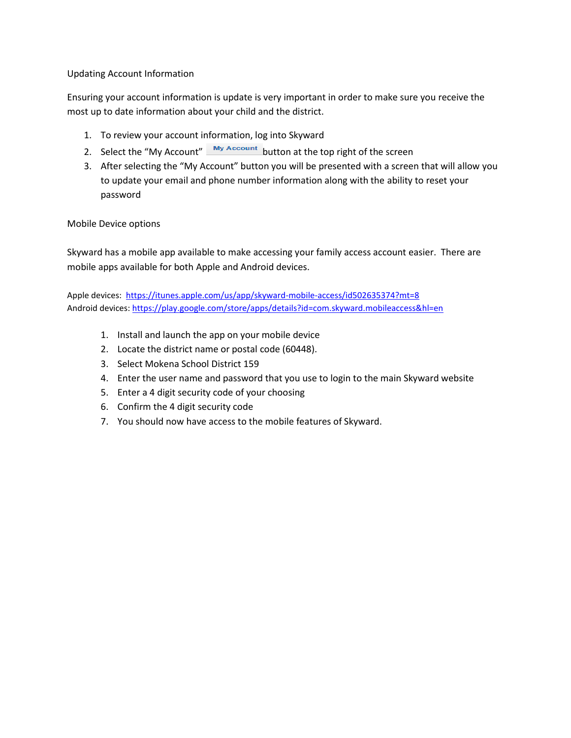#### Updating Account Information

Ensuring your account information is update is very important in order to make sure you receive the most up to date information about your child and the district.

- 1. To review your account information, log into Skyward
- 2. Select the "My Account"  $\frac{My Account}{My Account}$  button at the top right of the screen
- 3. After selecting the "My Account" button you will be presented with a screen that will allow you to update your email and phone number information along with the ability to reset your password

#### Mobile Device options

Skyward has a mobile app available to make accessing your family access account easier. There are mobile apps available for both Apple and Android devices.

Apple devices: <https://itunes.apple.com/us/app/skyward-mobile-access/id502635374?mt=8> Android devices:<https://play.google.com/store/apps/details?id=com.skyward.mobileaccess&hl=en>

- 1. Install and launch the app on your mobile device
- 2. Locate the district name or postal code (60448).
- 3. Select Mokena School District 159
- 4. Enter the user name and password that you use to login to the main Skyward website
- 5. Enter a 4 digit security code of your choosing
- 6. Confirm the 4 digit security code
- 7. You should now have access to the mobile features of Skyward.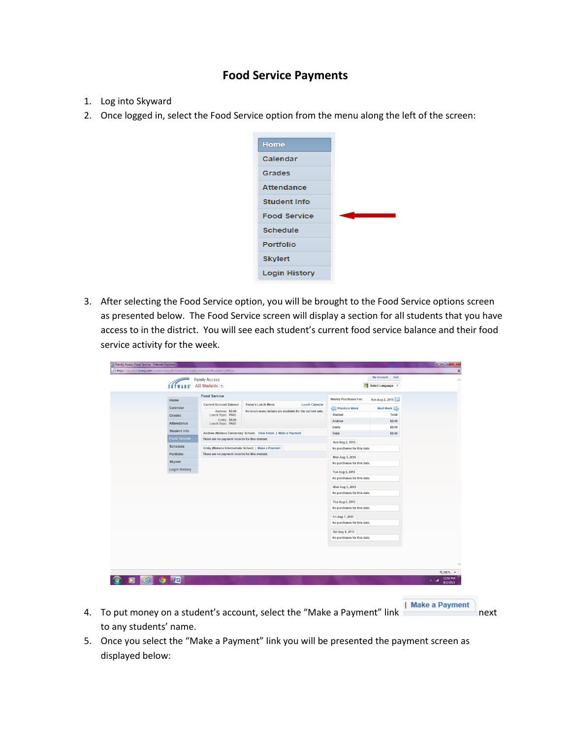### **Food Service Payments**

- 1. Log into Skyward
- 2. Once logged in, select the Food Service option from the menu along the left of the screen:



3. After selecting the Food Service option, you will be brought to the Food Service options screen as presented below. The Food Service screen will display a section for all students that you have access to in the district. You will see each student's current food service balance and their food service activity for the week.

|               | <b>Family Access</b>                           |                                                                |                                                | My Account Exit                          |  |
|---------------|------------------------------------------------|----------------------------------------------------------------|------------------------------------------------|------------------------------------------|--|
|               | SKYWARD' All Students                          |                                                                | Select Language                                |                                          |  |
|               |                                                |                                                                |                                                |                                          |  |
| Home          | <b>Food Service</b>                            |                                                                |                                                | Weekly Purchases For:<br>Sun Aug 2, 2015 |  |
| Calendar      | <b>Current Account Balance</b>                 | <b>Today's Lunch Menu</b><br><b>Lunch Calendar</b>             | Previous Week                                  | Next Week                                |  |
|               | Andrew: \$0.00<br>Lunch Type: PAID             | No lunch menu details are available for the current date.      | Student                                        | Total                                    |  |
| Grades        | Emily: \$8.85                                  |                                                                | Andrew                                         | \$0.00                                   |  |
| Attendance    | Lunch Type: PAID                               |                                                                | Emily                                          | \$0.00                                   |  |
| Student Info  |                                                | Andrew (Mokena Elementary School) View Totals   Make a Payment | Total                                          | \$0.00                                   |  |
| Food Service  | There are no payment records for this student. |                                                                | Sun Aug 2, 2015                                |                                          |  |
| Schedule      |                                                | Emily (Mokena Intermediate School)   Make a Payment            | No purchases for this date.                    |                                          |  |
| Portfolio     | There are no payment records for this student. |                                                                |                                                |                                          |  |
| Skylert       |                                                |                                                                | Mon Aug 3, 2015<br>No purchases for this date. |                                          |  |
| Login History |                                                |                                                                |                                                |                                          |  |
|               |                                                |                                                                | Tue Aug 4, 2015                                |                                          |  |
|               |                                                |                                                                | No purchases for this date.                    |                                          |  |
|               |                                                |                                                                | Wed Aug 5, 2015                                |                                          |  |
|               |                                                |                                                                | No purchases for this date.                    |                                          |  |
|               |                                                |                                                                | Thu Aug 6, 2015                                |                                          |  |
|               |                                                |                                                                | No purchases for this date.                    |                                          |  |
|               |                                                |                                                                | Fri Aug 7, 2015                                |                                          |  |
|               |                                                |                                                                | No purchases for this date.                    |                                          |  |
|               |                                                |                                                                | Sat Aug 8, 2015                                |                                          |  |
|               |                                                |                                                                | No purchases for this date.                    |                                          |  |
|               |                                                |                                                                |                                                |                                          |  |

- 4. To put money on a student's account, select the "Make a Payment" link **I Make a Payment** to any students' name.
- 5. Once you select the "Make a Payment" link you will be presented the payment screen as displayed below: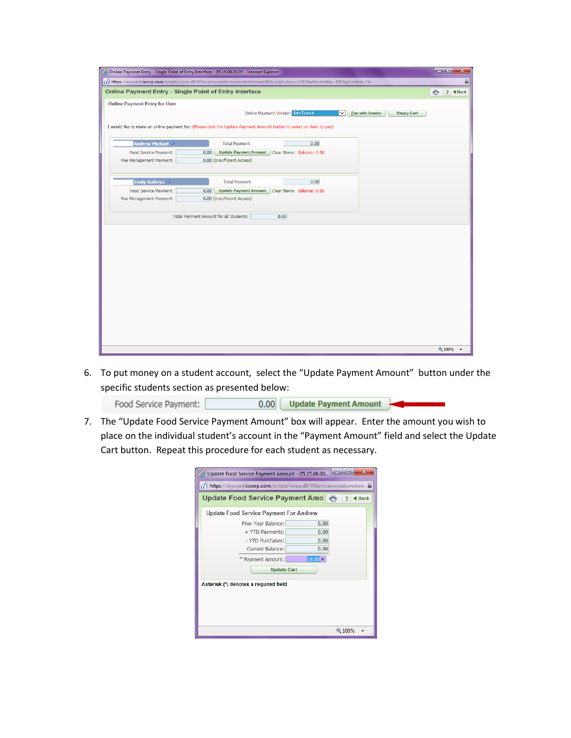|                                                        | Online Payment Entry - Single Point of Entry Interface - 05.15.06.00.05 - Internet Explorer                                   | أيهارها<br>$\mathbf{x}$ |
|--------------------------------------------------------|-------------------------------------------------------------------------------------------------------------------------------|-------------------------|
|                                                        | ff https://skyward.iscorp.com/scripts/wsisa.dll/WService=wsedumokenail/sfamaedit021.w?pSubsys=FOO&pVendEntity=101&pContext=FA |                         |
| Online Payment Entry - Single Point of Entry Interface |                                                                                                                               | ? ◀ Back<br>÷           |
| <b>Online Payment Entry for User</b>                   |                                                                                                                               |                         |
|                                                        | Online Payment Vendor: RevTrack<br>Pay with Vendor<br><b>Empty Cart</b><br>$\checkmark$                                       |                         |
|                                                        | I would like to make an online payment for: (Please click the Update Payment Amount button to select an item to pay)          |                         |
|                                                        |                                                                                                                               |                         |
| <b>Andrew Michael ©</b>                                | 0.00<br>Total Payment                                                                                                         |                         |
| Food Service Payment:                                  | 0.00<br>Update Payment Amount<br>Clear Items Balance: 0.00                                                                    |                         |
| Fee Management Payment:                                | 0.00 (Insufficient Access)                                                                                                    |                         |
|                                                        |                                                                                                                               |                         |
| Emily Kathryn <sup>0</sup>                             | 0.00<br><b>Total Payment</b>                                                                                                  |                         |
| Food Service Payment:                                  | 0.00<br><b>Update Payment Amount</b><br>Clear Items Balance: 8.85                                                             |                         |
| Fee Management Payment:                                | 0.00 (Insufficient Access)                                                                                                    |                         |
|                                                        |                                                                                                                               |                         |
|                                                        | Total Payment Amount for all Students:<br>0.00                                                                                |                         |
|                                                        |                                                                                                                               |                         |
|                                                        |                                                                                                                               |                         |
|                                                        |                                                                                                                               |                         |
|                                                        |                                                                                                                               |                         |
|                                                        |                                                                                                                               |                         |
|                                                        |                                                                                                                               |                         |
|                                                        |                                                                                                                               |                         |
|                                                        |                                                                                                                               |                         |
|                                                        |                                                                                                                               |                         |
|                                                        |                                                                                                                               |                         |
|                                                        |                                                                                                                               |                         |
|                                                        |                                                                                                                               |                         |
|                                                        |                                                                                                                               |                         |
|                                                        |                                                                                                                               | 电 100%                  |

6. To put money on a student account, select the "Update Payment Amount" button under the specific students section as presented below:

0.00 | Update Payment Amount Food Service Payment:

7. The "Update Food Service Payment Amount" box will appear. Enter the amount you wish to place on the individual student's account in the "Payment Amount" field and select the Update Cart button. Repeat this procedure for each student as necessary.

| Update Food Service Payment Amount - 05.15.06.00                      | х<br>о                |
|-----------------------------------------------------------------------|-----------------------|
| sky https://skyward.iscorp.com/scripts/wsisa.dll/WService=wsedumokena |                       |
| Update Food Service Payment Amo                                       | ō<br><b>Back</b><br>7 |
| <b>Update Food Service Payment For Andrew</b>                         |                       |
| Prior Year Balance:                                                   | 0.00                  |
| + YTD Payments:                                                       | 0.00                  |
| - YTD Purchases:                                                      | 0.00                  |
| Current Balance:                                                      | 0.00                  |
| * Payment Amount:                                                     | $10.00 \times$        |
| <b>Update Cart</b>                                                    |                       |
|                                                                       |                       |
| Asterisk (*) denotes a required field                                 |                       |
|                                                                       |                       |
|                                                                       |                       |
|                                                                       |                       |
|                                                                       | 电 100%                |
|                                                                       |                       |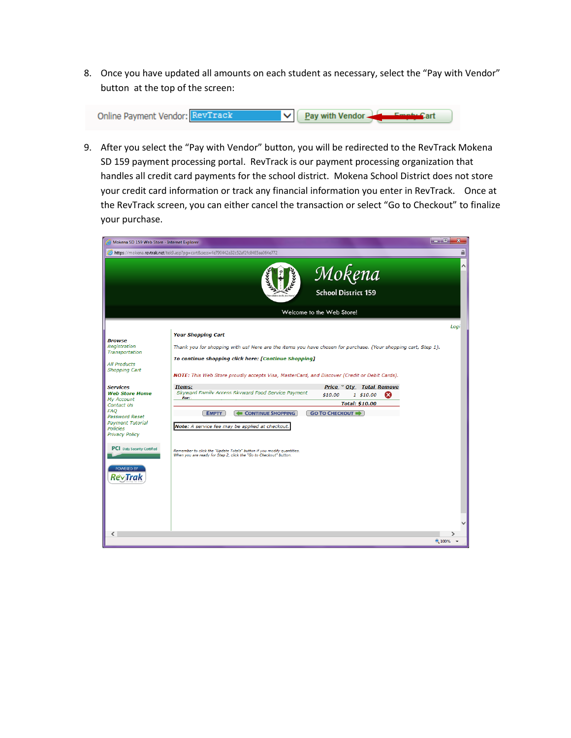8. Once you have updated all amounts on each student as necessary, select the "Pay with Vendor" button at the top of the screen:



9. After you select the "Pay with Vendor" button, you will be redirected to the RevTrack Mokena SD 159 payment processing portal. RevTrack is our payment processing organization that handles all credit card payments for the school district. Mokena School District does not store your credit card information or track any financial information you enter in RevTrack. Once at the RevTrack screen, you can either cancel the transaction or select "Go to Checkout" to finalize your purchase.